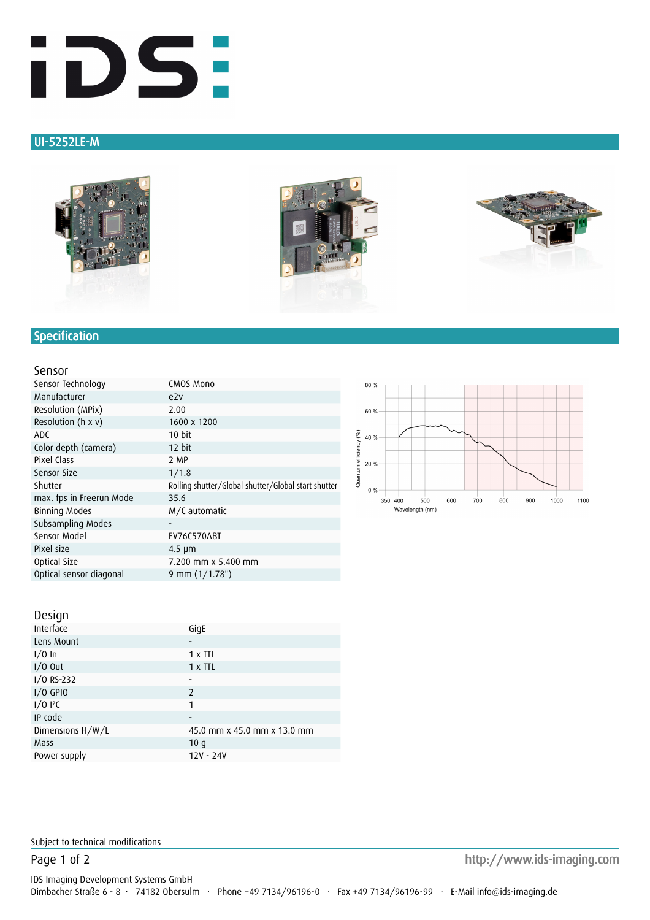

## UI-5252LE-M







# **Specification**

#### Sensor

| Sensor Technology        | CMOS Mono                                           |
|--------------------------|-----------------------------------------------------|
| Manufacturer             | e2v                                                 |
| Resolution (MPix)        | 2.00                                                |
| Resolution (h x v)       | 1600 x 1200                                         |
| ADC                      | 10 bit                                              |
| Color depth (camera)     | 12 bit                                              |
| Pixel Class              | 2 MP                                                |
| Sensor Size              | 1/1.8                                               |
|                          |                                                     |
| Shutter                  | Rolling shutter/Global shutter/Global start shutter |
| max. fps in Freerun Mode | 35.6                                                |
| Binning Modes            | M/C automatic                                       |
| Subsampling Modes        | ٠                                                   |
| Sensor Model             | EV76C570ABT                                         |
| Pixel size               | $4.5 \mu m$                                         |
| Optical Size             | 7.200 mm x 5.400 mm                                 |



| DESIGII          |                             |
|------------------|-----------------------------|
| Interface        | GigE                        |
| Lens Mount       | -                           |
| $1/0$ In         | 1 x TTL                     |
| $I/O$ Out        | 1 x TTL                     |
| I/O RS-232       | ۰                           |
| $I/O$ GPIO       | 2                           |
| 1/012C           | 1                           |
| IP code          | ٠                           |
| Dimensions H/W/L | 45.0 mm x 45.0 mm x 13.0 mm |
| Mass             | 10q                         |
| Power supply     | 12V - 24V                   |
|                  |                             |



Subject to technical modifications

Page 1 of 2 http://www.ids-imaging.com http://www.ids-imaging.com